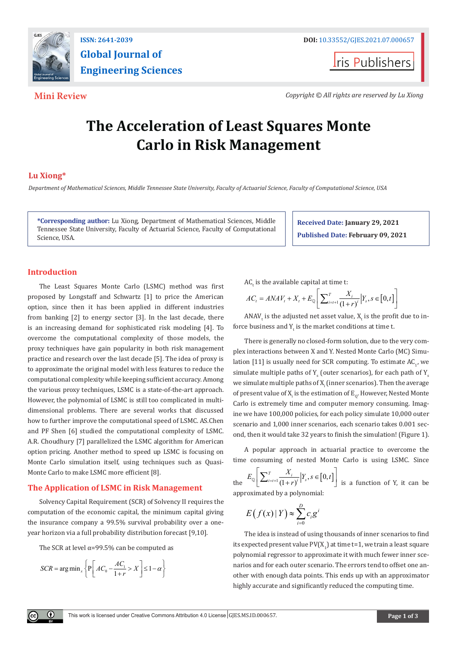

**Global Journal of Engineering Sciences**

**Iris Publishers** 

**Mini Review** *Copyright © All rights are reserved by Lu Xiong*

# **The Acceleration of Least Squares Monte Carlo in Risk Management**

# **Lu Xiong\***

*Department of Mathematical Sciences, Middle Tennessee State University, Faculty of Actuarial Science, Faculty of Computational Science, USA*

**\*Corresponding author:** Lu Xiong, Department of Mathematical Sciences, Middle Tennessee State University, Faculty of Actuarial Science, Faculty of Computational Science, USA.

**Received Date: January 29, 2021 Published Date: February 09, 2021**

# **Introduction**

The Least Squares Monte Carlo (LSMC) method was first proposed by Longstaff and Schwartz [1] to price the American option, since then it has been applied in different industries from banking [2] to energy sector [3]. In the last decade, there is an increasing demand for sophisticated risk modeling [4]. To overcome the computational complexity of those models, the proxy techniques have gain popularity in both risk management practice and research over the last decade [5]. The idea of proxy is to approximate the original model with less features to reduce the computational complexity while keeping sufficient accuracy. Among the various proxy techniques, LSMC is a state-of-the-art approach. However, the polynomial of LSMC is still too complicated in multidimensional problems. There are several works that discussed how to further improve the computational speed of LSMC. AS.Chen and PF Shen [6] studied the computational complexity of LSMC. A.R. Choudhury [7] parallelized the LSMC algorithm for American option pricing. Another method to speed up LSMC is focusing on Monte Carlo simulation itself, using techniques such as Quasi-Monte Carlo to make LSMC more efficient [8].

### **The Application of LSMC in Risk Management**

Solvency Capital Requirement (SCR) of Solvency II requires the computation of the economic capital, the minimum capital giving the insurance company a 99.5% survival probability over a oneyear horizon via a full probability distribution forecast [9,10].

The SCR at level  $\alpha$ =99.5% can be computed as

$$
SCR = \arg\min_{x} \left\{ P \left[ AC_0 - \frac{AC_1}{1+r} > X \right] \le 1 - \alpha \right\}
$$

Œ

 ${\sf AC}_{{\sf t}}$  is the available capital at time t:

$$
AC_{t} = ANAV_{t} + X_{t} + E_{\mathbb{Q}} \left[ \sum_{i=t+1}^{T} \frac{X_{i}}{(1+r)^{i}} \Big| Y_{s}, s \in [0, t] \right]
$$

ANAV $_{\rm t}$  is the adjusted net asset value,  ${\rm X}_{\rm t}$  is the profit due to inforce business and  $Y_t$  is the market conditions at time t.

There is generally no closed-form solution, due to the very complex interactions between X and Y. Nested Monte Carlo (MC) Simulation  $[11]$  is usually need for SCR computing. To estimate  $AC_i$ , we simulate multiple paths of  $Y_s$  (outer scenarios), for each path of  $Y_s$ we simulate multiple paths of  $X_{\rm i}$  (inner scenarios). Then the average of present value of  $X_i$  is the estimation of  $E_{\rho}$ . However, Nested Monte Carlo is extremely time and computer memory consuming. Imagine we have 100,000 policies, for each policy simulate 10,000 outer scenario and 1,000 inner scenarios, each scenario takes 0.001 second, then it would take 32 years to finish the simulation! (Figure 1).

A popular approach in actuarial practice to overcome the time consuming of nested Monte Carlo is using LSMC. Since

the 
$$
E_{\mathbb{Q}}\left[\sum_{i=t+1}^{T} \frac{X_i}{(1+r)^i} | Y_s, s \in [0, t] \right]
$$
 is a function of Y, it can be approximated by a polynomial:

$$
E(f(x) | Y) \approx \sum_{i=0}^{D} c_i g^i
$$

The idea is instead of using thousands of inner scenarios to find its expected present value  $\mathsf{PV}(X_1)$  at time t=1, we train a least square polynomial regressor to approximate it with much fewer inner scenarios and for each outer scenario. The errors tend to offset one another with enough data points. This ends up with an approximator highly accurate and significantly reduced the computing time.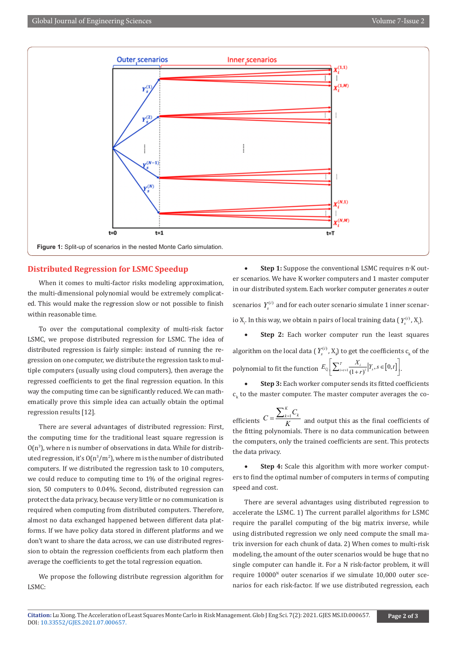

### **Distributed Regression for LSMC Speedup**

When it comes to multi-factor risks modeling approximation. the multi-dimensional polynomial would be extremely complicated. This would make the regression slow or not possible to finish within reasonable time.

To over the computational complexity of multi-risk factor LSMC, we propose distributed regression for LSMC. The idea of distributed regression is fairly simple: instead of running the regression on one computer, we distribute the regression task to multiple computers (usually using cloud computers), then average the regressed coefficients to get the final regression equation. In this way the computing time can be significantly reduced. We can mathematically prove this simple idea can actually obtain the optimal regression results [12].

There are several advantages of distributed regression: First, the computing time for the traditional least square regression is  $O(n^3)$ , where n is number of observations in data. While for distributed regression, it's  $O(n^3/m^2)$ , where m is the number of distributed computers. If we distributed the regression task to 10 computers, we could reduce to computing time to 1% of the original regression, 50 computers to 0.04%. Second, distributed regression can protect the data privacy, because very little or no communication is required when computing from distributed computers. Therefore, almost no data exchanged happened between different data platforms. If we have policy data stored in different platforms and we don't want to share the data across, we can use distributed regression to obtain the regression coefficients from each platform then average the coefficients to get the total regression equation.

We propose the following distribute regression algorithm for LSMC:

• **Step 1:** Suppose the conventional LSMC requires n∙K outer scenarios. We have K worker computers and 1 master computer in our distributed system. Each worker computer generates *n* outer scenarios  $Y_i^{(i)}$  and for each outer scenario simulate 1 inner scenario  $X_i$ . In this way, we obtain n pairs of local training data  $(Y_s^{(i)}, X_i)$ .

**Step 2:** Each worker computer run the least squares algorithm on the local data ( $Y_s^{(i)}$ ,  $X_i$ ) to get the coefficients  $c_k$  of the polynomial to fit the function  $E_{\mathbb{Q}}\left[\sum_{i=t+1}^{T} \frac{X_i}{(1+r)^i} \Big| Y_s, s \in [0, t] \right]$ .

**Step 3:** Each worker computer sends its fitted coefficients  $c_{k}$  to the master computer. The master computer averages the co-

efficients  $C = \frac{\sum_{k=1}^{k} C_k}{K}$  $C = \frac{\sum_{k=1}^{K} C_k}{K}$  and output this as the final coefficients of the fitting polynomials. There is no data communication between the computers, only the trained coefficients are sent. This protects the data privacy.

**Step 4:** Scale this algorithm with more worker computers to find the optimal number of computers in terms of computing speed and cost.

There are several advantages using distributed regression to accelerate the LSMC. 1) The current parallel algorithms for LSMC require the parallel computing of the big matrix inverse, while using distributed regression we only need compute the small matrix inversion for each chunk of data. 2) When comes to multi-risk modeling, the amount of the outer scenarios would be huge that no single computer can handle it. For a N risk-factor problem, it will require  $10000^{\text{N}}$  outer scenarios if we simulate  $10,000$  outer scenarios for each risk-factor. If we use distributed regression, each